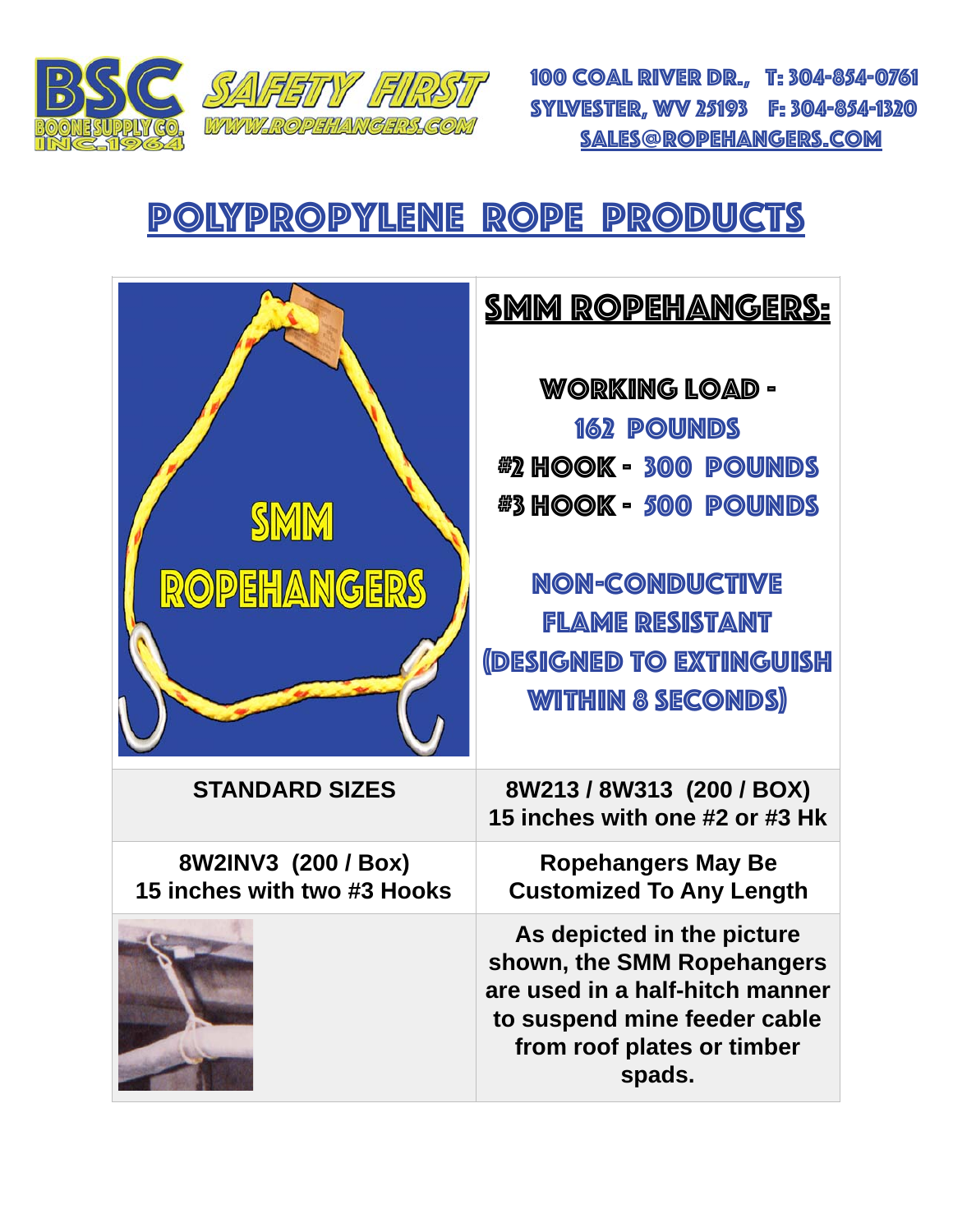

100 Coal River Dr., t: 304-854-0761 Sylvester, wv 25193 F: 304-854-1320 [sales@ropehangers.com](mailto:sales@ropehangers.com)

## polypropylene rope products

|                                                    | <b>SMM ROPEHANGERS:</b>                                                                                                                                                                                            |
|----------------------------------------------------|--------------------------------------------------------------------------------------------------------------------------------------------------------------------------------------------------------------------|
| <b>SMM</b><br>ROPEHANGERS                          | WORKING LOAD -<br><b>162 POUNDS</b><br><b>#2 HOOK - 300 POUNDS</b><br><b>#3 HOOK - 500 POUNDS</b><br><b>NON-CONDUCTIVE</b><br><b>FLAME RESISTANT</b><br><b>(DESIGNED TO EXTINGUISH</b><br><b>WITHIN 8 SECONDS)</b> |
| <b>STANDARD SIZES</b>                              | 8W213/8W313 (200/BOX)<br>15 inches with one #2 or #3 Hk                                                                                                                                                            |
| 8W2INV3 (200 / Box)<br>15 inches with two #3 Hooks | <b>Ropehangers May Be</b><br><b>Customized To Any Length</b>                                                                                                                                                       |
|                                                    | As depicted in the picture<br>shown, the SMM Ropehangers<br>are used in a half-hitch manner<br>to suspend mine feeder cable<br>from roof plates or timber<br>spads.                                                |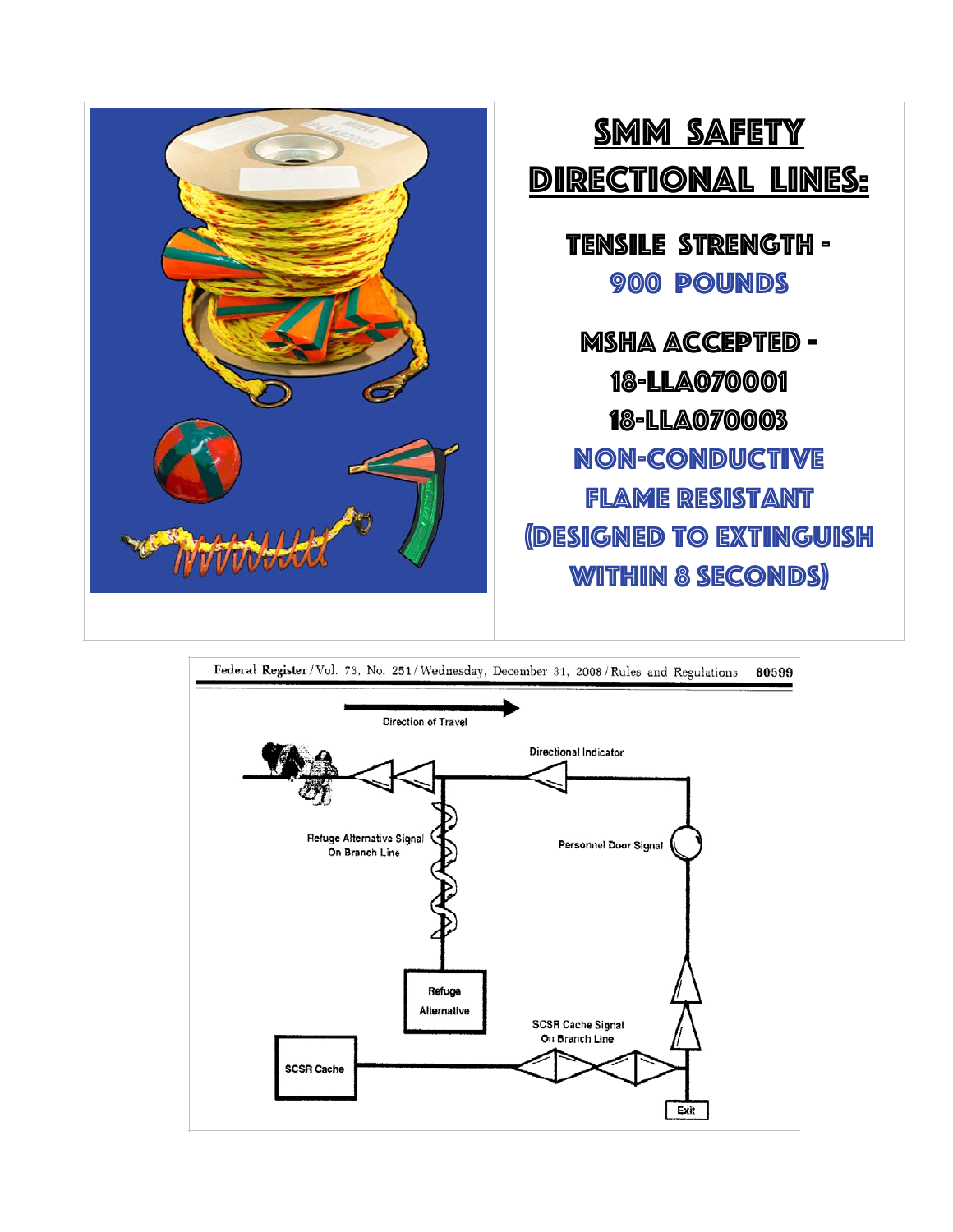

# smm safety directional lines:

tensile strength - 900 pounds

msha accepted - 18-lla070001 18-lla070003 non-conductive flame resistant (designed to extinguish within 8 seconds)

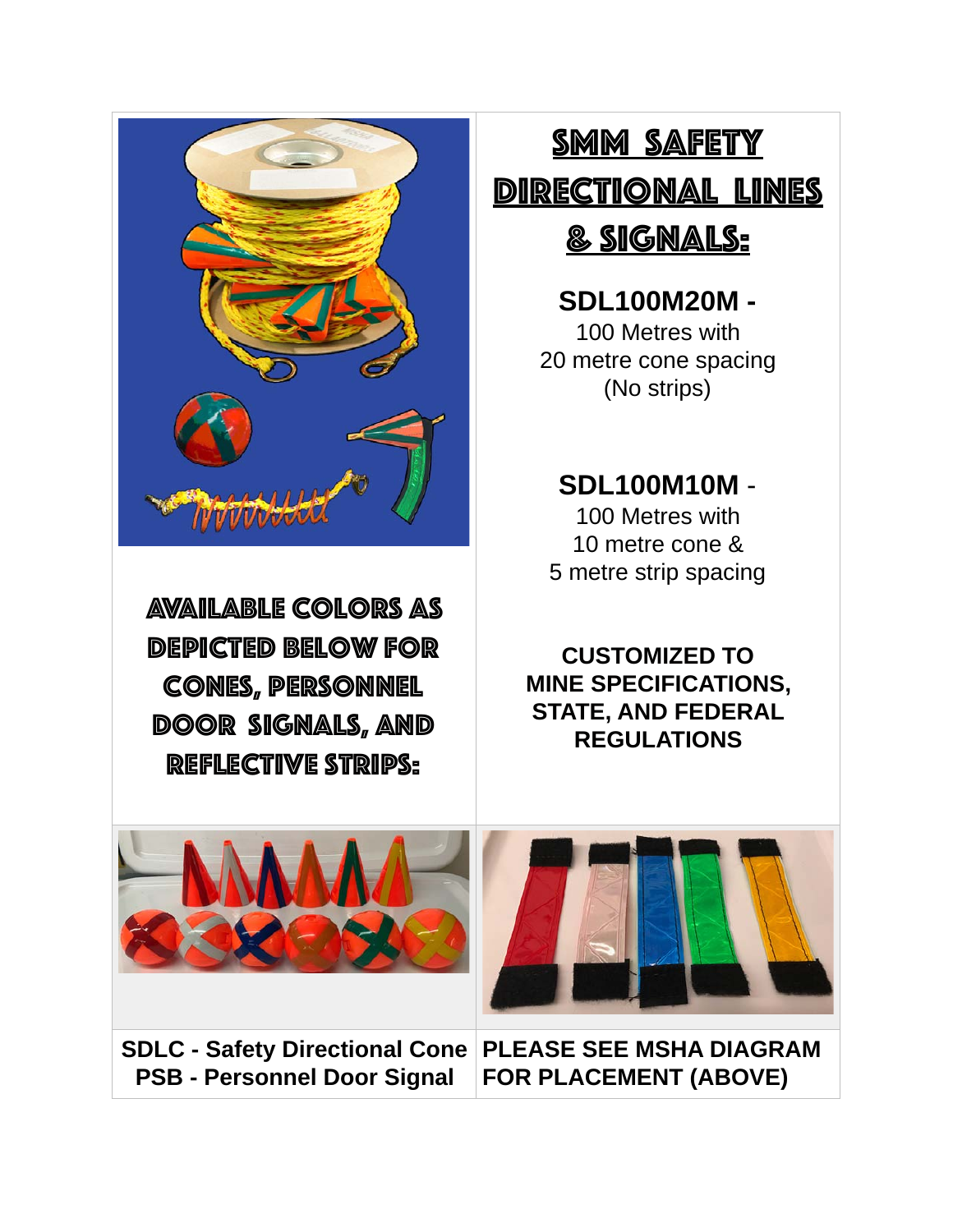

available colors As depicted below for cones, Personnel door signals, and REFLECTIVE STRIPS:

SMM SAFETY directional lines

& signals:

**SDL100M20M -** 100 Metres with 20 metre cone spacing (No strips)

**SDL100M10M** - 100 Metres with

10 metre cone & 5 metre strip spacing

**CUSTOMIZED TO MINE SPECIFICATIONS, STATE, AND FEDERAL REGULATIONS**



**SDLC - Safety Directional Cone PLEASE SEE MSHA DIAGRAM PSB - Personnel Door Signal FOR PLACEMENT (ABOVE)**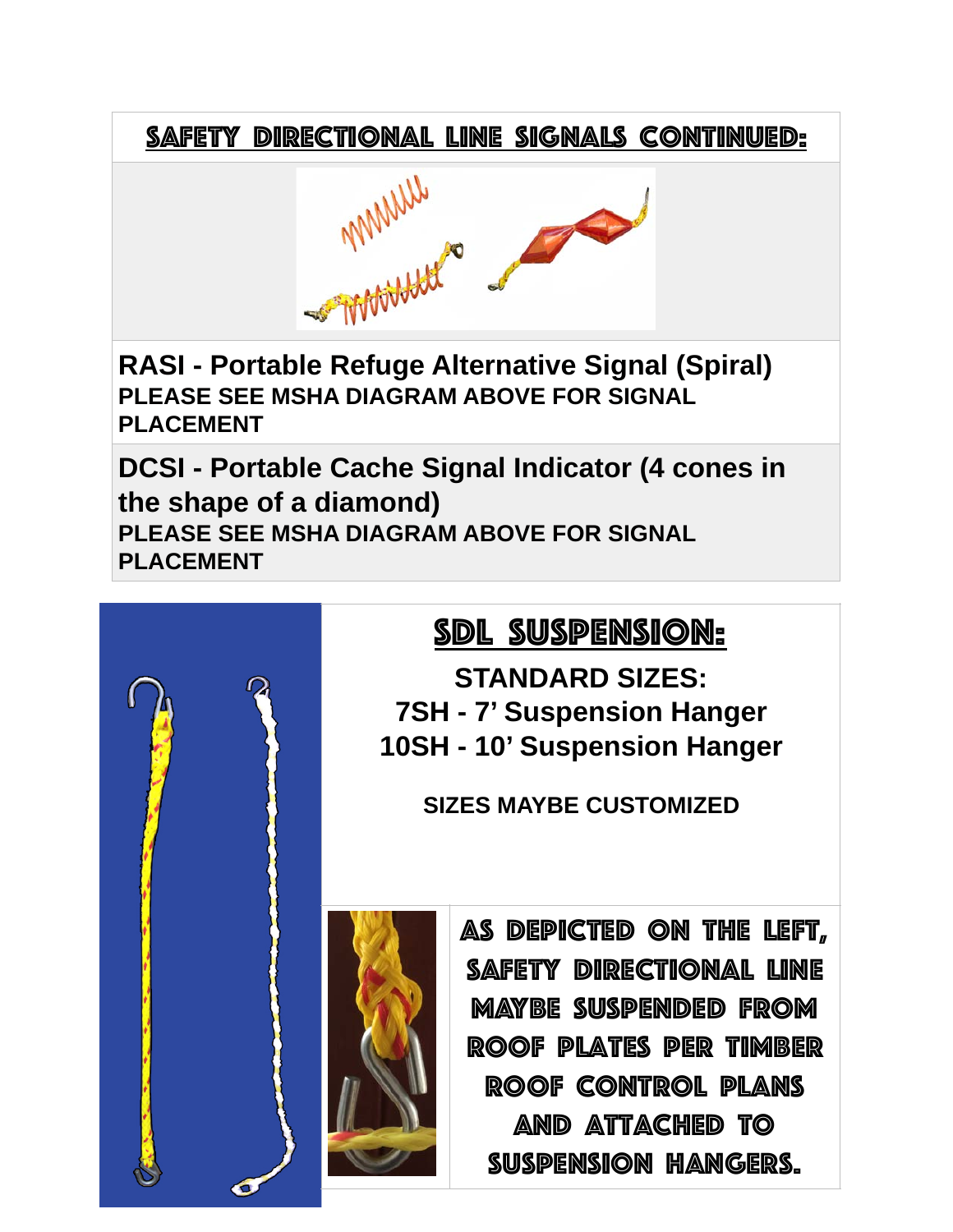

**RASI - Portable Refuge Alternative Signal (Spiral) PLEASE SEE MSHA DIAGRAM ABOVE FOR SIGNAL PLACEMENT**

**DCSI - Portable Cache Signal Indicator (4 cones in the shape of a diamond) PLEASE SEE MSHA DIAGRAM ABOVE FOR SIGNAL PLACEMENT**

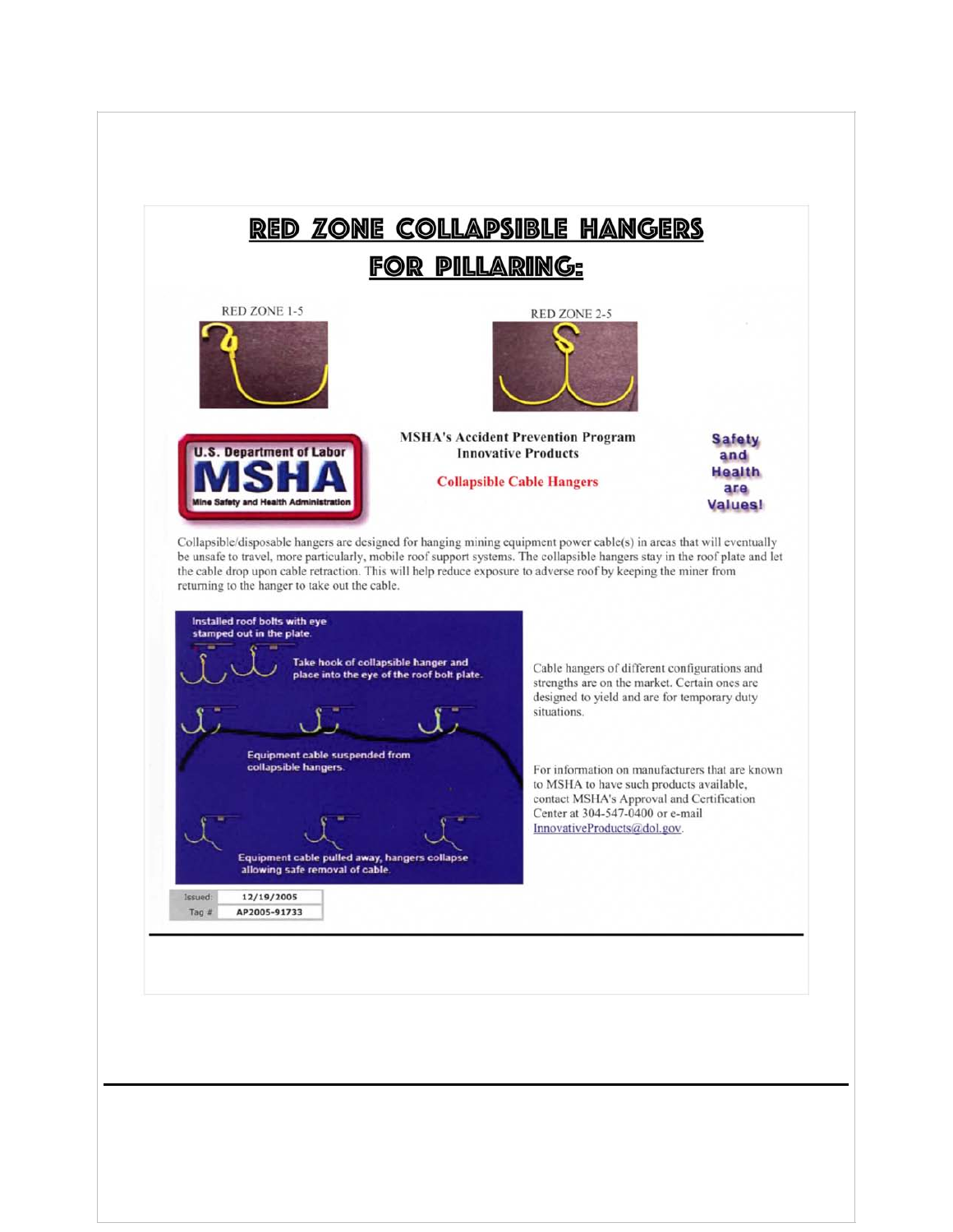### RED ZONE COLLAPSIBLE HANGERS **FOR PILLARING:**



.S. Department of Labor

ne Safety and



**MSHA's Accident Prevention Program Innovative Products** 

**Collapsible Cable Hangers** 

**Safety** and **Health** are **Values!** 

Collapsible/disposable hangers are designed for hanging mining equipment power cable(s) in areas that will eventually be unsafe to travel, more particularly, mobile roof support systems. The collapsible hangers stay in the roof plate and let the cable drop upon cable retraction. This will help reduce exposure to adverse roof by keeping the miner from returning to the hanger to take out the cable.



Cable hangers of different configurations and strengths are on the market. Certain ones are designed to yield and are for temporary duty

For information on manufacturers that are known to MSHA to have such products available, contact MSHA's Approval and Certification Center at 304-547-0400 or e-mail InnovativeProducts@dol.gov.